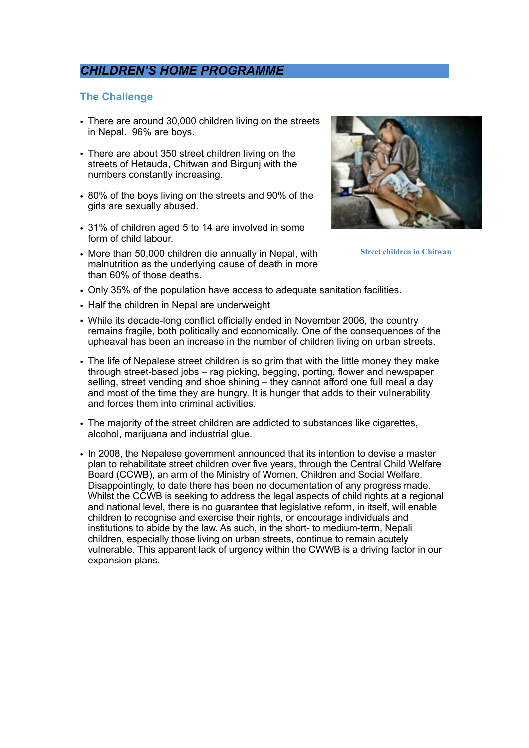# *CHILDREN'S HOME PROGRAMME*

### **The Challenge**

- There are around 30,000 children living on the streets in Nepal. 96% are boys.
- There are about 350 street children living on the streets of Hetauda, Chitwan and Birgunj with the numbers constantly increasing.
- 80% of the boys living on the streets and 90% of the girls are sexually abused.
- 31% of children aged 5 to 14 are involved in some form of child labour.
- More than 50,000 children die annually in Nepal, with malnutrition as the underlying cause of death in more than 60% of those deaths.
- Only 35% of the population have access to adequate sanitation facilities.
- Half the children in Nepal are underweight
- While its decade-long conflict officially ended in November 2006, the country remains fragile, both politically and economically. One of the consequences of the upheaval has been an increase in the number of children living on urban streets.
- The life of Nepalese street children is so grim that with the little money they make through street-based jobs – rag picking, begging, porting, flower and newspaper selling, street vending and shoe shining – they cannot afford one full meal a day and most of the time they are hungry. It is hunger that adds to their vulnerability and forces them into criminal activities.
- The majority of the street children are addicted to substances like cigarettes, alcohol, marijuana and industrial glue.
- In 2008, the Nepalese government announced that its intention to devise a master plan to rehabilitate street children over five years, through the Central Child Welfare Board (CCWB), an arm of the Ministry of Women, Children and Social Welfare. Disappointingly, to date there has been no documentation of any progress made. Whilst the CCWB is seeking to address the legal aspects of child rights at a regional and national level, there is no guarantee that legislative reform, in itself, will enable children to recognise and exercise their rights, or encourage individuals and institutions to abide by the law. As such, in the short- to medium-term, Nepali children, especially those living on urban streets, continue to remain acutely vulnerable. This apparent lack of urgency within the CWWB is a driving factor in our expansion plans.



**Street children in Chitwan**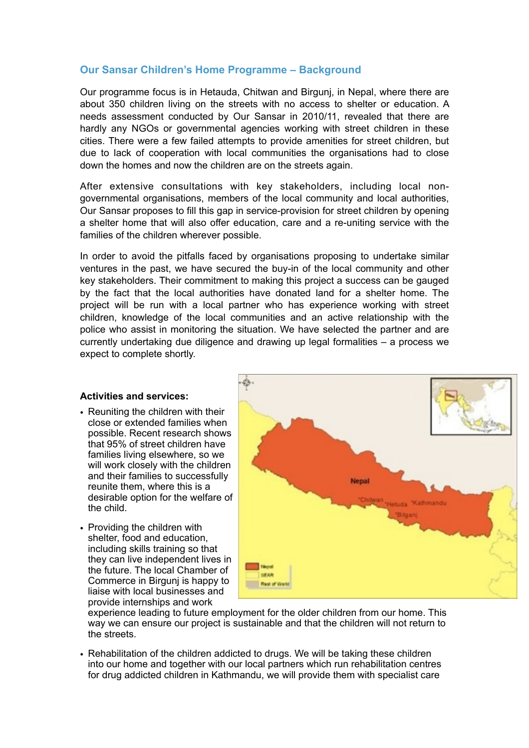# **Our Sansar Children's Home Programme – Background**

Our programme focus is in Hetauda, Chitwan and Birgunj, in Nepal, where there are about 350 children living on the streets with no access to shelter or education. A needs assessment conducted by Our Sansar in 2010/11, revealed that there are hardly any NGOs or governmental agencies working with street children in these cities. There were a few failed attempts to provide amenities for street children, but due to lack of cooperation with local communities the organisations had to close down the homes and now the children are on the streets again.

After extensive consultations with key stakeholders, including local nongovernmental organisations, members of the local community and local authorities, Our Sansar proposes to fill this gap in service-provision for street children by opening a shelter home that will also offer education, care and a re-uniting service with the families of the children wherever possible.

In order to avoid the pitfalls faced by organisations proposing to undertake similar ventures in the past, we have secured the buy-in of the local community and other key stakeholders. Their commitment to making this project a success can be gauged by the fact that the local authorities have donated land for a shelter home. The project will be run with a local partner who has experience working with street children, knowledge of the local communities and an active relationship with the police who assist in monitoring the situation. We have selected the partner and are currently undertaking due diligence and drawing up legal formalities – a process we expect to complete shortly.

#### **Activities and services:**

- Reuniting the children with their close or extended families when possible. Recent research shows that 95% of street children have families living elsewhere, so we will work closely with the children and their families to successfully reunite them, where this is a desirable option for the welfare of the child.
- Providing the children with shelter, food and education, including skills training so that they can live independent lives in the future. The local Chamber of Commerce in Birgunj is happy to liaise with local businesses and provide internships and work



experience leading to future employment for the older children from our home. This way we can ensure our project is sustainable and that the children will not return to the streets.

• Rehabilitation of the children addicted to drugs. We will be taking these children into our home and together with our local partners which run rehabilitation centres for drug addicted children in Kathmandu, we will provide them with specialist care